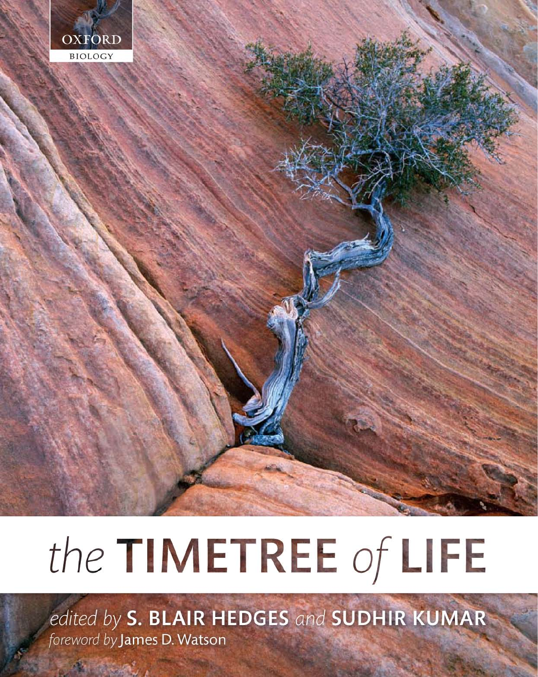

# the TIMETREE of LIFE

edited by S. BLAIR HEDGES and SUDHIR KUMAR foreword by James D. Watson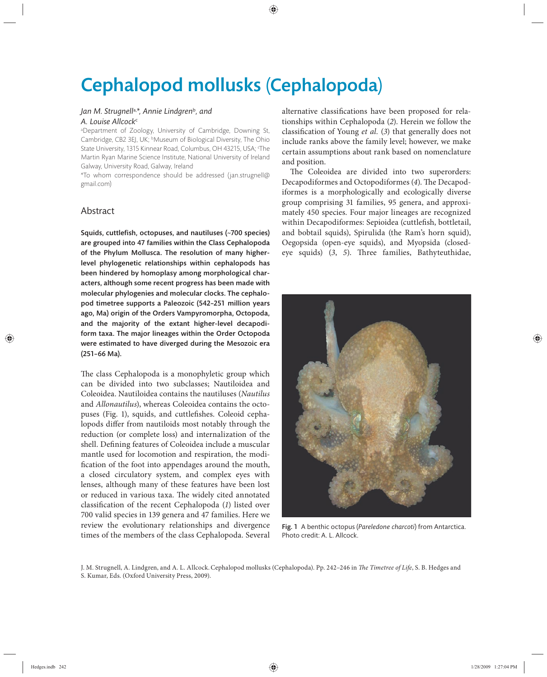# Cephalopod mollusks (Cephalopoda)

## *Jan M. Strugnell*a,*\*, Annie Lindgren*<sup>b</sup>*, and*  A. Louise Allcock<sup>c</sup>

a Department of Zoology, University of Cambridge, Downing St, Cambridge, CB2 3EJ, UK; <sup>b</sup>Museum of Biological Diversity, The Ohio State University, 1315 Kinnear Road, Columbus, OH 43215, USA; 'The Martin Ryan Marine Science Institute, National University of Ireland Galway, University Road, Galway, Ireland.

\*To whom correspondence should be addressed (jan.strugnell@ gmail.com)

# Abstract

Squids, cuttlefish, octopuses, and nautiluses  $(\sim 700$  species) are grouped into 47 families within the Class Cephalopoda of the Phylum Mollusca. The resolution of many higherlevel phylogenetic relationships within cephalopods has been hindered by homoplasy among morphological characters, although some recent progress has been made with molecular phylogenies and molecular clocks. The cephalopod timetree supports a Paleozoic (542-251 million years ago, Ma) origin of the Orders Vampyromorpha, Octopoda, and the majority of the extant higher-level decapodiform taxa. The major lineages within the Order Octopoda were estimated to have diverged during the Mesozoic era (251–66 Ma).

The class Cephalopoda is a monophyletic group which can be divided into two subclasses; Nautiloidea and Coleoidea. Nautiloidea contains the nautiluses (*Nautilus* and *Allonautilus*), whereas Coleoidea contains the octopuses (Fig. 1), squids, and cuttlefishes. Coleoid cephalopods differ from nautiloids most notably through the reduction (or complete loss) and internalization of the shell. Defining features of Coleoidea include a muscular mantle used for locomotion and respiration, the modification of the foot into appendages around the mouth, a closed circulatory system, and complex eyes with lenses, although many of these features have been lost or reduced in various taxa. The widely cited annotated classification of the recent Cephalopoda (1) listed over 700 valid species in 139 genera and 47 families. Here we review the evolutionary relationships and divergence times of the members of the class Cephalopoda. Several alternative classifications have been proposed for relationships within Cephalopoda (*2*). Herein we follow the classification of Young *et al.* (3) that generally does not include ranks above the family level; however, we make certain assumptions about rank based on nomenclature and position.

The Coleoidea are divided into two superorders: Decapodiformes and Octopodiformes (4). The Decapodiformes is a morphologically and ecologically diverse group comprising 31 families, 95 genera, and approximately 450 species. Four major lineages are recognized within Decapodiformes: Sepioidea (cuttlefish, bottletail, and bobtail squids), Spirulida (the Ram's horn squid), Oegopsida (open-eye squids), and Myopsida (closedeye squids) (3, 5). Three families, Bathyteuthidae,



Fig. 1 A benthic octopus (*Pareledone charcoti*) from Antarctica. Photo credit: A. L. Allcock.

J. M. Strugnell, A. Lindgren, and A. L. Allcock. Cephalopod mollusks (Cephalopoda). Pp. 242-246 in *The Timetree of Life*, S. B. Hedges and S. Kumar, Eds. (Oxford University Press, 2009).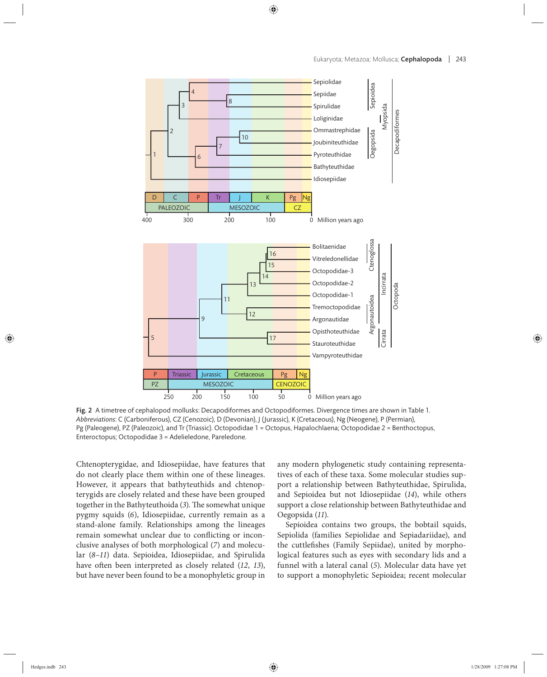

Fig. 2 A timetree of cephalopod mollusks: Decapodiformes and Octopodiformes. Divergence times are shown in Table 1. *Abbreviations*: C (Carboniferous), CZ (Cenozoic), D (Devonian), J (Jurassic), K (Cretaceous), Ng (Neogene), P (Permian), Pg (Paleogene), PZ (Paleozoic), and Tr (Triassic). Octopodidae 1 = Octopus, Hapalochlaena; Octopodidae 2 = Benthoctopus, Enteroctopus; Octopodidae 3 = Adelieledone, Pareledone.

Chtenopterygidae, and Idiosepiidae, have features that do not clearly place them within one of these lineages. However, it appears that bathyteuthids and chtenopterygids are closely related and these have been grouped together in the Bathyteuthoida (3). The somewhat unique pygmy squids (6), Idiosepiidae, currently remain as a stand-alone family. Relationships among the lineages remain somewhat unclear due to conflicting or inconclusive analyses of both morphological (*7*) and molecular (8-11) data. Sepioidea, Idiosepiidae, and Spirulida have often been interpreted as closely related (12, 13), but have never been found to be a monophyletic group in

any modern phylogenetic study containing representatives of each of these taxa. Some molecular studies support a relationship between Bathyteuthidae, Spirulida, and Sepioidea but not Idiosepiidae (*14*), while others support a close relationship between Bathyteuthidae and Oegopsida (*11*).

Sepioidea contains two groups, the bobtail squids, Sepiolida (families Sepiolidae and Sepiadariidae), and the cuttlefishes (Family Sepiidae), united by morphological features such as eyes with secondary lids and a funnel with a lateral canal (*5*). Molecular data have yet to support a monophyletic Sepioidea; recent molecular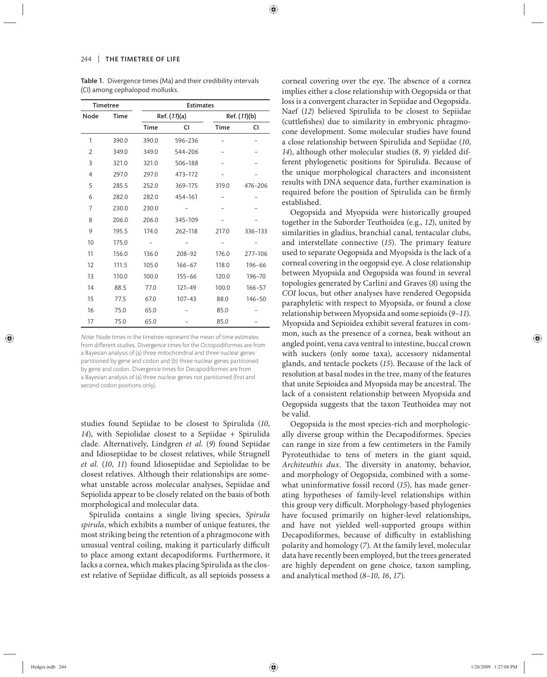Table 1. Divergence times (Ma) and their credibility intervals (CI) among cephalopod mollusks.

| <b>Timetree</b> |             | <b>Estimates</b> |            |              |            |
|-----------------|-------------|------------------|------------|--------------|------------|
| Node            | <b>Time</b> | Ref. (11)(a)     |            | Ref. (11)(b) |            |
|                 |             | <b>Time</b>      | CI         | <b>Time</b>  | CI         |
| 1               | 390.0       | 390.0            | 596-236    |              |            |
| $\overline{2}$  | 349.0       | 349.0            | 544-206    |              |            |
| 3               | 321.0       | 321.0            | 506-188    |              |            |
| $\overline{4}$  | 297.0       | 297.0            | 473-172    |              |            |
| 5               | 285.5       | 252.0            | 369-175    | 319.0        | 476-206    |
| 6               | 282.0       | 282.0            | 454-161    |              |            |
| 7               | 230.0       | 230.0            |            |              |            |
| 8               | 206.0       | 206.0            | 345-109    |              |            |
| 9               | 195.5       | 174.0            | 262-118    | 217.0        | 336-133    |
| 10              | 175.0       |                  |            |              |            |
| 11              | 156.0       | 136.0            | $208 - 92$ | 176.0        | 277-106    |
| 12              | 111.5       | 105.0            | $166 - 67$ | 118.0        | 196-66     |
| 13              | 110.0       | 100.0            | $155 - 66$ | 120.0        | 196-70     |
| 14              | 88.5        | 77.0             | $121 - 49$ | 100.0        | $166 - 57$ |
| 15              | 77.5        | 67.0             | $107 - 43$ | 88.0         | 146-50     |
| 16              | 75.0        | 65.0             |            | 85.0         |            |
| 17              | 75.0        | 65.0             |            | 85.0         |            |

Note: Node times in the timetree represent the mean of time estimates from different studies. Divergence times for the Octopodiformes are from a Bayesian analysis of (a) three mitochondrial and three nuclear genes partitioned by gene and codon and (b) three nuclear genes partitioned by gene and codon. Divergence times for Decapodiformes are from a Bayesian analysis of (a) three nuclear genes not partitioned (first and second codon positions only).

studies found Sepiidae to be closest to Spirulida (10, 14), with Sepiolidae closest to a Sepiidae + Spirulida clade. Alternatively, Lindgren *et al.* (*9*) found Sepiidae and Idiosepiidae to be closest relatives, while Strugnell *et al.* (*10*, *11*) found Idiosepiidae and Sepiolidae to be closest relatives. Although their relationships are somewhat unstable across molecular analyses, Sepiidae and Sepiolida appear to be closely related on the basis of both morphological and molecular data.

Spirulida contains a single living species, *Spirula spirula*, which exhibits a number of unique features, the most striking being the retention of a phragmocone with unusual ventral coiling, making it particularly difficult to place among extant decapodiforms. Furthermore, it lacks a cornea, which makes placing Spirulida as the closest relative of Sepiidae difficult, as all sepioids possess a

corneal covering over the eye. The absence of a cornea implies either a close relationship with Oegopsida or that loss is a convergent character in Sepiidae and Oegopsida. Naef (12) believed Spirulida to be closest to Sepiidae (cuttlefishes) due to similarity in embryonic phragmocone development. Some molecular studies have found a close relationship between Spirulida and Sepiidae (*10*, *14*), although other molecular studies (*8*, *9*) yielded different phylogenetic positions for Spirulida. Because of the unique morphological characters and inconsistent results with DNA sequence data, further examination is required before the position of Spirulida can be firmly established.

Oegopsida and Myopsida were historically grouped together in the Suborder Teuthoidea (e.g., *12*), united by similarities in gladius, branchial canal, tentacular clubs, and interstellate connective (15). The primary feature used to separate Oegopsida and Myopsida is the lack of a corneal covering in the oegopsid eye. A close relationship between Myopsida and Oegopsida was found in several topologies generated by Carlini and Graves (*8*) using the *COI* locus, but other analyses have rendered Oegopsida paraphyletic with respect to Myopsida, or found a close relationship between Myopsida and some sepioids (*9*–*11*). Myopsida and Sepioidea exhibit several features in common, such as the presence of a cornea, beak without an angled point, vena cava ventral to intestine, buccal crown with suckers (only some taxa), accessory nidamental glands, and tentacle pockets (*15*). Because of the lack of resolution at basal nodes in the tree, many of the features that unite Sepioidea and Myopsida may be ancestral. The lack of a consistent relationship between Myopsida and Oegopsida suggests that the taxon Teuthoidea may not be valid.

Oegopsida is the most species-rich and morphologically diverse group within the Decapodiformes. Species can range in size from a few centimeters in the Family Pyroteuthidae to tens of meters in the giant squid, Architeuthis dux. The diversity in anatomy, behavior, and morphology of Oegopsida, combined with a somewhat uninformative fossil record (*15*), has made generating hypotheses of family-level relationships within this group very difficult. Morphology-based phylogenies have focused primarily on higher-level relationships, and have not yielded well-supported groups within Decapodiformes, because of difficulty in establishing polarity and homology (*7*). At the family level, molecular data have recently been employed, but the trees generated are highly dependent on gene choice, taxon sampling, and analytical method (*8*–*10*, *16*, *17*).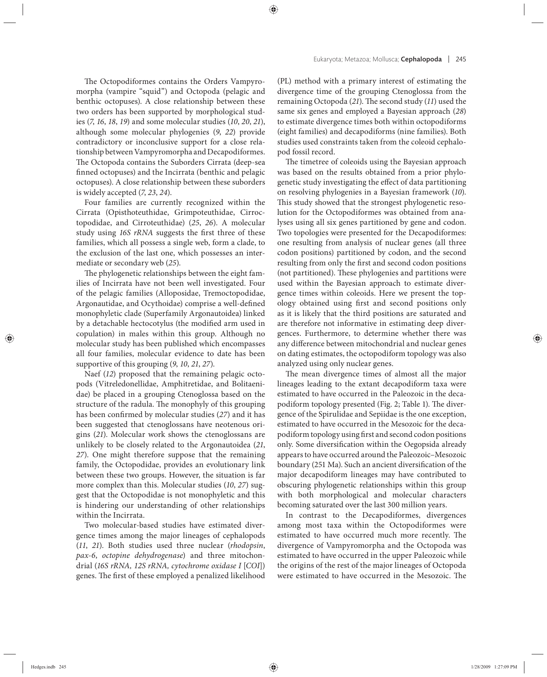The Octopodiformes contains the Orders Vampyromorpha (vampire "squid") and Octopoda (pelagic and benthic octopuses). A close relationship between these two orders has been supported by morphological studies (*7*, *16*, *18*, *19*) and some molecular studies (*10*, *20*, *21*), although some molecular phylogenies (*9*, *22*) provide contradictory or inconclusive support for a close relationship between Vampyromorpha and Decapodiformes. The Octopoda contains the Suborders Cirrata (deep-sea finned octopuses) and the Incirrata (benthic and pelagic octopuses). A close relationship between these suborders is widely accepted (*7*, *23*, *24*).

Four families are currently recognized within the Cirrata (Opisthoteuthidae, Grimpoteuthidae, Cirroctopodidae, and Cirroteuthidae) (25, 26). A molecular study using *16S rRNA* suggests the first three of these families, which all possess a single web, form a clade, to the exclusion of the last one, which possesses an intermediate or secondary web (*25*).

The phylogenetic relationships between the eight families of Incirrata have not been well investigated. Four of the pelagic families (Alloposidae, Tremoctopodidae, Argonautidae, and Ocythoidae) comprise a well-defined monophyletic clade (Superfamily Argonautoidea) linked by a detachable hectocotylus (the modified arm used in copulation) in males within this group. Although no molecular study has been published which encompasses all four families, molecular evidence to date has been supportive of this grouping (*9*, *10*, *21*, *27*).

Naef (*12*) proposed that the remaining pelagic octopods (Vitreledonellidae, Amphitretidae, and Bolitaenidae) be placed in a grouping Ctenoglossa based on the structure of the radula. The monophyly of this grouping has been confirmed by molecular studies (27) and it has been suggested that ctenoglossans have neotenous origins (21). Molecular work shows the ctenoglossans are unlikely to be closely related to the Argonautoidea (*21*, 27). One might therefore suppose that the remaining family, the Octopodidae, provides an evolutionary link between these two groups. However, the situation is far more complex than this. Molecular studies (*10*, *27*) suggest that the Octopodidae is not monophyletic and this is hindering our understanding of other relationships within the Incirrata.

Two molecular-based studies have estimated divergence times among the major lineages of cephalopods (*11*, *21*). Both studies used three nuclear (*rhodopsin*, *pax-6*, *octopine dehydrogenase*) and three mitochondrial (*16S rRNA, 12S rRNA, cytochrome oxidase I* [*COI*]) genes. The first of these employed a penalized likelihood (PL) method with a primary interest of estimating the divergence time of the grouping Ctenoglossa from the remaining Octopoda (21). The second study (11) used the same six genes and employed a Bayesian approach (*28*) to estimate divergence times both within octopodiforms (eight families) and decapodiforms (nine families). Both studies used constraints taken from the coleoid cephalopod fossil record.

The timetree of coleoids using the Bayesian approach was based on the results obtained from a prior phylogenetic study investigating the effect of data partitioning on resolving phylogenies in a Bayesian framework (*10*). This study showed that the strongest phylogenetic resolution for the Octopodiformes was obtained from analyses using all six genes partitioned by gene and codon. Two topologies were presented for the Decapodiformes: one resulting from analysis of nuclear genes (all three codon positions) partitioned by codon, and the second resulting from only the first and second codon positions (not partitioned). These phylogenies and partitions were used within the Bayesian approach to estimate divergence times within coleoids. Here we present the topology obtained using first and second positions only as it is likely that the third positions are saturated and are therefore not informative in estimating deep divergences. Furthermore, to determine whether there was any difference between mitochondrial and nuclear genes on dating estimates, the octopodiform topology was also analyzed using only nuclear genes.

The mean divergence times of almost all the major lineages leading to the extant decapodiform taxa were estimated to have occurred in the Paleozoic in the decapodiform topology presented (Fig. 2; Table 1). The divergence of the Spirulidae and Sepiidae is the one exception, estimated to have occurred in the Mesozoic for the decapodiform topology using first and second codon positions only. Some diversification within the Oegopsida already appears to have occurred around the Paleozoic–Mesozoic boundary (251 Ma). Such an ancient diversification of the major decapodiform lineages may have contributed to obscuring phylogenetic relationships within this group with both morphological and molecular characters becoming saturated over the last 300 million years.

In contrast to the Decapodiformes, divergences among most taxa within the Octopodiformes were estimated to have occurred much more recently. The divergence of Vampyromorpha and the Octopoda was estimated to have occurred in the upper Paleozoic while the origins of the rest of the major lineages of Octopoda were estimated to have occurred in the Mesozoic. The